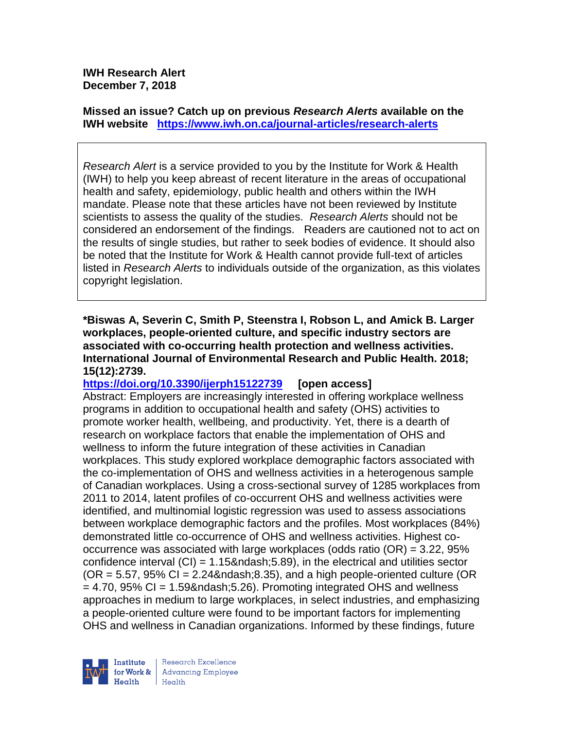**IWH Research Alert December 7, 2018**

**Missed an issue? Catch up on previous** *Research Alerts* **available on the [IWH website](http://www.iwh.on.ca/research-alerts) <https://www.iwh.on.ca/journal-articles/research-alerts>**

*Research Alert* is a service provided to you by the Institute for Work & Health (IWH) to help you keep abreast of recent literature in the areas of occupational health and safety, epidemiology, public health and others within the IWH mandate. Please note that these articles have not been reviewed by Institute scientists to assess the quality of the studies. *Research Alerts* should not be considered an endorsement of the findings. Readers are cautioned not to act on the results of single studies, but rather to seek bodies of evidence. It should also be noted that the Institute for Work & Health cannot provide full-text of articles listed in *Research Alerts* to individuals outside of the organization, as this violates copyright legislation.

**\*Biswas A, Severin C, Smith P, Steenstra I, Robson L, and Amick B. Larger workplaces, people-oriented culture, and specific industry sectors are associated with co-occurring health protection and wellness activities. International Journal of Environmental Research and Public Health. 2018; 15(12):2739.**

**<https://doi.org/10.3390/ijerph15122739> [open access]**

Abstract: Employers are increasingly interested in offering workplace wellness programs in addition to occupational health and safety (OHS) activities to promote worker health, wellbeing, and productivity. Yet, there is a dearth of research on workplace factors that enable the implementation of OHS and wellness to inform the future integration of these activities in Canadian workplaces. This study explored workplace demographic factors associated with the co-implementation of OHS and wellness activities in a heterogenous sample of Canadian workplaces. Using a cross-sectional survey of 1285 workplaces from 2011 to 2014, latent profiles of co-occurrent OHS and wellness activities were identified, and multinomial logistic regression was used to assess associations between workplace demographic factors and the profiles. Most workplaces (84%) demonstrated little co-occurrence of OHS and wellness activities. Highest cooccurrence was associated with large workplaces (odds ratio (OR) = 3.22, 95% confidence interval  $(CI) = 1.15\&n\,ds$ , 5.89), in the electrical and utilities sector  $(OR = 5.57, 95\% CI = 2.24\– 8.35)$ , and a high people-oriented culture (OR  $= 4.70$ , 95% CI = 1.59– 5.26). Promoting integrated OHS and wellness approaches in medium to large workplaces, in select industries, and emphasizing a people-oriented culture were found to be important factors for implementing OHS and wellness in Canadian organizations. Informed by these findings, future

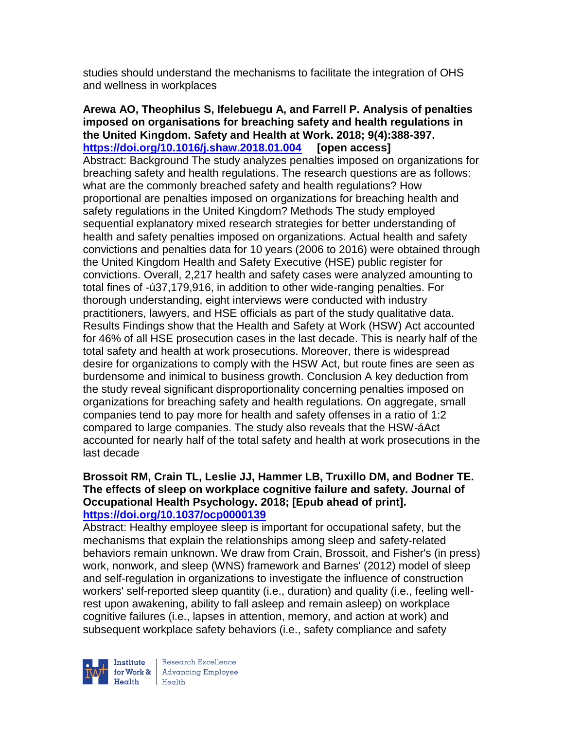studies should understand the mechanisms to facilitate the integration of OHS and wellness in workplaces

**Arewa AO, Theophilus S, Ifelebuegu A, and Farrell P. Analysis of penalties imposed on organisations for breaching safety and health regulations in the United Kingdom. Safety and Health at Work. 2018; 9(4):388-397. <https://doi.org/10.1016/j.shaw.2018.01.004> [open access]** Abstract: Background The study analyzes penalties imposed on organizations for breaching safety and health regulations. The research questions are as follows: what are the commonly breached safety and health regulations? How proportional are penalties imposed on organizations for breaching health and safety regulations in the United Kingdom? Methods The study employed sequential explanatory mixed research strategies for better understanding of health and safety penalties imposed on organizations. Actual health and safety convictions and penalties data for 10 years (2006 to 2016) were obtained through the United Kingdom Health and Safety Executive (HSE) public register for convictions. Overall, 2,217 health and safety cases were analyzed amounting to total fines of -ú37,179,916, in addition to other wide-ranging penalties. For thorough understanding, eight interviews were conducted with industry practitioners, lawyers, and HSE officials as part of the study qualitative data. Results Findings show that the Health and Safety at Work (HSW) Act accounted for 46% of all HSE prosecution cases in the last decade. This is nearly half of the total safety and health at work prosecutions. Moreover, there is widespread desire for organizations to comply with the HSW Act, but route fines are seen as burdensome and inimical to business growth. Conclusion A key deduction from the study reveal significant disproportionality concerning penalties imposed on organizations for breaching safety and health regulations. On aggregate, small companies tend to pay more for health and safety offenses in a ratio of 1:2 compared to large companies. The study also reveals that the HSW-áAct accounted for nearly half of the total safety and health at work prosecutions in the last decade

#### **Brossoit RM, Crain TL, Leslie JJ, Hammer LB, Truxillo DM, and Bodner TE. The effects of sleep on workplace cognitive failure and safety. Journal of Occupational Health Psychology. 2018; [Epub ahead of print]. <https://doi.org/10.1037/ocp0000139>**

Abstract: Healthy employee sleep is important for occupational safety, but the mechanisms that explain the relationships among sleep and safety-related behaviors remain unknown. We draw from Crain, Brossoit, and Fisher's (in press) work, nonwork, and sleep (WNS) framework and Barnes' (2012) model of sleep and self-regulation in organizations to investigate the influence of construction workers' self-reported sleep quantity (i.e., duration) and quality (i.e., feeling wellrest upon awakening, ability to fall asleep and remain asleep) on workplace cognitive failures (i.e., lapses in attention, memory, and action at work) and subsequent workplace safety behaviors (i.e., safety compliance and safety



Research Excellence for Work & | Advancing Employee Health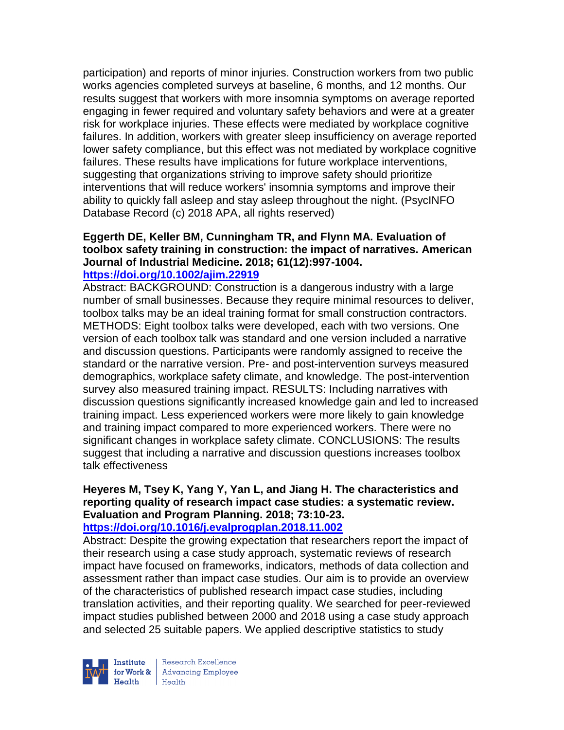participation) and reports of minor injuries. Construction workers from two public works agencies completed surveys at baseline, 6 months, and 12 months. Our results suggest that workers with more insomnia symptoms on average reported engaging in fewer required and voluntary safety behaviors and were at a greater risk for workplace injuries. These effects were mediated by workplace cognitive failures. In addition, workers with greater sleep insufficiency on average reported lower safety compliance, but this effect was not mediated by workplace cognitive failures. These results have implications for future workplace interventions, suggesting that organizations striving to improve safety should prioritize interventions that will reduce workers' insomnia symptoms and improve their ability to quickly fall asleep and stay asleep throughout the night. (PsycINFO Database Record (c) 2018 APA, all rights reserved)

# **Eggerth DE, Keller BM, Cunningham TR, and Flynn MA. Evaluation of toolbox safety training in construction: the impact of narratives. American Journal of Industrial Medicine. 2018; 61(12):997-1004.**

#### **<https://doi.org/10.1002/ajim.22919>**

Abstract: BACKGROUND: Construction is a dangerous industry with a large number of small businesses. Because they require minimal resources to deliver, toolbox talks may be an ideal training format for small construction contractors. METHODS: Eight toolbox talks were developed, each with two versions. One version of each toolbox talk was standard and one version included a narrative and discussion questions. Participants were randomly assigned to receive the standard or the narrative version. Pre- and post-intervention surveys measured demographics, workplace safety climate, and knowledge. The post-intervention survey also measured training impact. RESULTS: Including narratives with discussion questions significantly increased knowledge gain and led to increased training impact. Less experienced workers were more likely to gain knowledge and training impact compared to more experienced workers. There were no significant changes in workplace safety climate. CONCLUSIONS: The results suggest that including a narrative and discussion questions increases toolbox talk effectiveness

## **Heyeres M, Tsey K, Yang Y, Yan L, and Jiang H. The characteristics and reporting quality of research impact case studies: a systematic review. Evaluation and Program Planning. 2018; 73:10-23.**

### **<https://doi.org/10.1016/j.evalprogplan.2018.11.002>**

Abstract: Despite the growing expectation that researchers report the impact of their research using a case study approach, systematic reviews of research impact have focused on frameworks, indicators, methods of data collection and assessment rather than impact case studies. Our aim is to provide an overview of the characteristics of published research impact case studies, including translation activities, and their reporting quality. We searched for peer-reviewed impact studies published between 2000 and 2018 using a case study approach and selected 25 suitable papers. We applied descriptive statistics to study



Research Excellence for Work & Advancing Employee  $H_{\text{eath}}$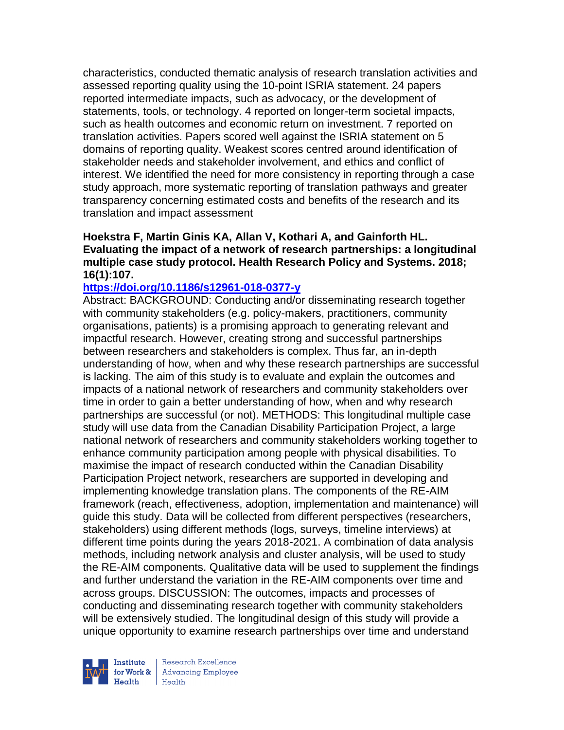characteristics, conducted thematic analysis of research translation activities and assessed reporting quality using the 10-point ISRIA statement. 24 papers reported intermediate impacts, such as advocacy, or the development of statements, tools, or technology. 4 reported on longer-term societal impacts, such as health outcomes and economic return on investment. 7 reported on translation activities. Papers scored well against the ISRIA statement on 5 domains of reporting quality. Weakest scores centred around identification of stakeholder needs and stakeholder involvement, and ethics and conflict of interest. We identified the need for more consistency in reporting through a case study approach, more systematic reporting of translation pathways and greater transparency concerning estimated costs and benefits of the research and its translation and impact assessment

### **Hoekstra F, Martin Ginis KA, Allan V, Kothari A, and Gainforth HL. Evaluating the impact of a network of research partnerships: a longitudinal multiple case study protocol. Health Research Policy and Systems. 2018; 16(1):107.**

#### **<https://doi.org/10.1186/s12961-018-0377-y>**

Abstract: BACKGROUND: Conducting and/or disseminating research together with community stakeholders (e.g. policy-makers, practitioners, community organisations, patients) is a promising approach to generating relevant and impactful research. However, creating strong and successful partnerships between researchers and stakeholders is complex. Thus far, an in-depth understanding of how, when and why these research partnerships are successful is lacking. The aim of this study is to evaluate and explain the outcomes and impacts of a national network of researchers and community stakeholders over time in order to gain a better understanding of how, when and why research partnerships are successful (or not). METHODS: This longitudinal multiple case study will use data from the Canadian Disability Participation Project, a large national network of researchers and community stakeholders working together to enhance community participation among people with physical disabilities. To maximise the impact of research conducted within the Canadian Disability Participation Project network, researchers are supported in developing and implementing knowledge translation plans. The components of the RE-AIM framework (reach, effectiveness, adoption, implementation and maintenance) will guide this study. Data will be collected from different perspectives (researchers, stakeholders) using different methods (logs, surveys, timeline interviews) at different time points during the years 2018-2021. A combination of data analysis methods, including network analysis and cluster analysis, will be used to study the RE-AIM components. Qualitative data will be used to supplement the findings and further understand the variation in the RE-AIM components over time and across groups. DISCUSSION: The outcomes, impacts and processes of conducting and disseminating research together with community stakeholders will be extensively studied. The longitudinal design of this study will provide a unique opportunity to examine research partnerships over time and understand



Research Excellence Institute<br>
for Work & Advancing Employee<br>
Health Health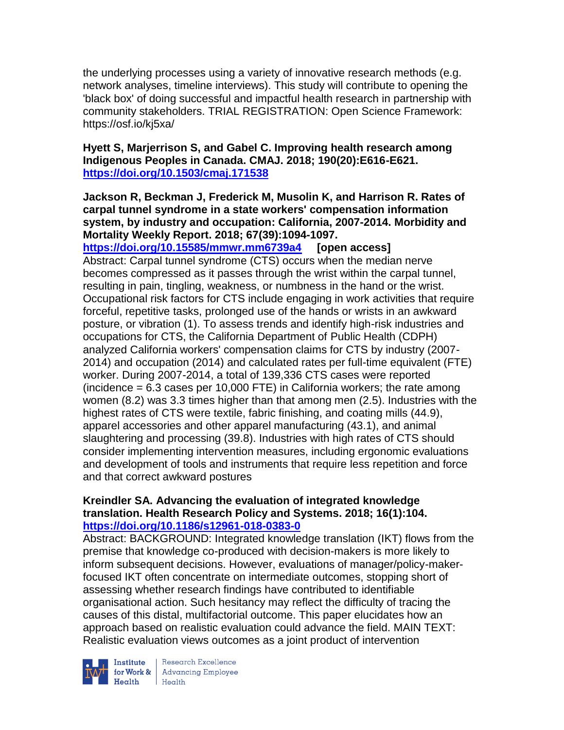the underlying processes using a variety of innovative research methods (e.g. network analyses, timeline interviews). This study will contribute to opening the 'black box' of doing successful and impactful health research in partnership with community stakeholders. TRIAL REGISTRATION: Open Science Framework: https://osf.io/kj5xa/

## **Hyett S, Marjerrison S, and Gabel C. Improving health research among Indigenous Peoples in Canada. CMAJ. 2018; 190(20):E616-E621. <https://doi.org/10.1503/cmaj.171538>**

## **Jackson R, Beckman J, Frederick M, Musolin K, and Harrison R. Rates of carpal tunnel syndrome in a state workers' compensation information system, by industry and occupation: California, 2007-2014. Morbidity and Mortality Weekly Report. 2018; 67(39):1094-1097.**

**<https://doi.org/10.15585/mmwr.mm6739a4> [open access]** Abstract: Carpal tunnel syndrome (CTS) occurs when the median nerve becomes compressed as it passes through the wrist within the carpal tunnel, resulting in pain, tingling, weakness, or numbness in the hand or the wrist. Occupational risk factors for CTS include engaging in work activities that require forceful, repetitive tasks, prolonged use of the hands or wrists in an awkward posture, or vibration (1). To assess trends and identify high-risk industries and occupations for CTS, the California Department of Public Health (CDPH) analyzed California workers' compensation claims for CTS by industry (2007- 2014) and occupation (2014) and calculated rates per full-time equivalent (FTE) worker. During 2007-2014, a total of 139,336 CTS cases were reported (incidence  $= 6.3$  cases per 10,000 FTE) in California workers; the rate among women (8.2) was 3.3 times higher than that among men (2.5). Industries with the highest rates of CTS were textile, fabric finishing, and coating mills (44.9), apparel accessories and other apparel manufacturing (43.1), and animal slaughtering and processing (39.8). Industries with high rates of CTS should consider implementing intervention measures, including ergonomic evaluations and development of tools and instruments that require less repetition and force and that correct awkward postures

### **Kreindler SA. Advancing the evaluation of integrated knowledge translation. Health Research Policy and Systems. 2018; 16(1):104. <https://doi.org/10.1186/s12961-018-0383-0>**

Abstract: BACKGROUND: Integrated knowledge translation (IKT) flows from the premise that knowledge co-produced with decision-makers is more likely to inform subsequent decisions. However, evaluations of manager/policy-makerfocused IKT often concentrate on intermediate outcomes, stopping short of assessing whether research findings have contributed to identifiable organisational action. Such hesitancy may reflect the difficulty of tracing the causes of this distal, multifactorial outcome. This paper elucidates how an approach based on realistic evaluation could advance the field. MAIN TEXT: Realistic evaluation views outcomes as a joint product of intervention



Institute Research Excellence<br>
for Work & Advancing Employee<br>
Health<br>
Health Health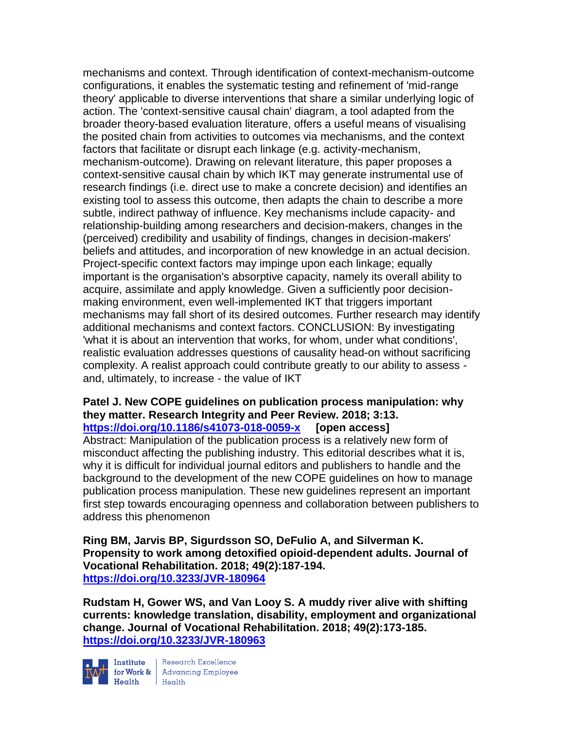mechanisms and context. Through identification of context-mechanism-outcome configurations, it enables the systematic testing and refinement of 'mid-range theory' applicable to diverse interventions that share a similar underlying logic of action. The 'context-sensitive causal chain' diagram, a tool adapted from the broader theory-based evaluation literature, offers a useful means of visualising the posited chain from activities to outcomes via mechanisms, and the context factors that facilitate or disrupt each linkage (e.g. activity-mechanism, mechanism-outcome). Drawing on relevant literature, this paper proposes a context-sensitive causal chain by which IKT may generate instrumental use of research findings (i.e. direct use to make a concrete decision) and identifies an existing tool to assess this outcome, then adapts the chain to describe a more subtle, indirect pathway of influence. Key mechanisms include capacity- and relationship-building among researchers and decision-makers, changes in the (perceived) credibility and usability of findings, changes in decision-makers' beliefs and attitudes, and incorporation of new knowledge in an actual decision. Project-specific context factors may impinge upon each linkage; equally important is the organisation's absorptive capacity, namely its overall ability to acquire, assimilate and apply knowledge. Given a sufficiently poor decisionmaking environment, even well-implemented IKT that triggers important mechanisms may fall short of its desired outcomes. Further research may identify additional mechanisms and context factors. CONCLUSION: By investigating 'what it is about an intervention that works, for whom, under what conditions', realistic evaluation addresses questions of causality head-on without sacrificing complexity. A realist approach could contribute greatly to our ability to assess and, ultimately, to increase - the value of IKT

#### **Patel J. New COPE guidelines on publication process manipulation: why they matter. Research Integrity and Peer Review. 2018; 3:13. <https://doi.org/10.1186/s41073-018-0059-x> [open access]**

Abstract: Manipulation of the publication process is a relatively new form of misconduct affecting the publishing industry. This editorial describes what it is, why it is difficult for individual journal editors and publishers to handle and the background to the development of the new COPE guidelines on how to manage publication process manipulation. These new guidelines represent an important first step towards encouraging openness and collaboration between publishers to address this phenomenon

**Ring BM, Jarvis BP, Sigurdsson SO, DeFulio A, and Silverman K. Propensity to work among detoxified opioid-dependent adults. Journal of Vocational Rehabilitation. 2018; 49(2):187-194. <https://doi.org/10.3233/JVR-180964>**

**Rudstam H, Gower WS, and Van Looy S. A muddy river alive with shifting currents: knowledge translation, disability, employment and organizational change. Journal of Vocational Rehabilitation. 2018; 49(2):173-185. <https://doi.org/10.3233/JVR-180963>**



Institute Research Excellence<br>for Work & Advancing Employee<br>Health Health Health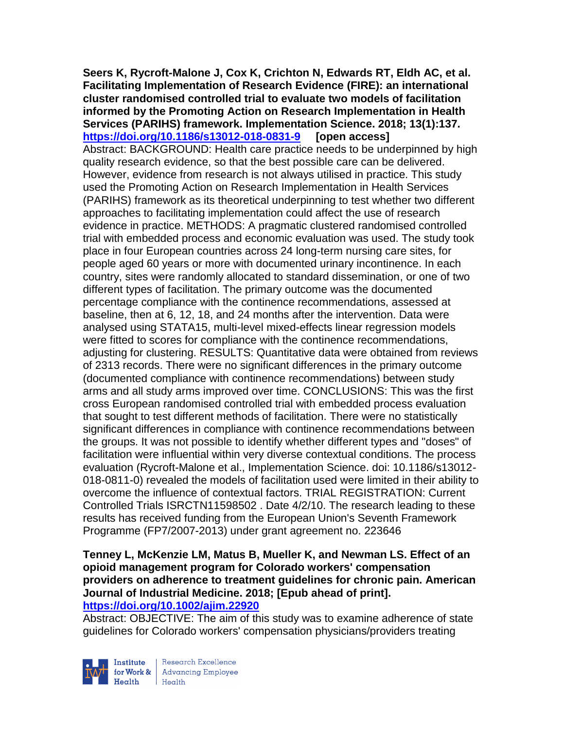**Seers K, Rycroft-Malone J, Cox K, Crichton N, Edwards RT, Eldh AC, et al. Facilitating Implementation of Research Evidence (FIRE): an international cluster randomised controlled trial to evaluate two models of facilitation informed by the Promoting Action on Research Implementation in Health Services (PARIHS) framework. Implementation Science. 2018; 13(1):137. <https://doi.org/10.1186/s13012-018-0831-9> [open access]** Abstract: BACKGROUND: Health care practice needs to be underpinned by high quality research evidence, so that the best possible care can be delivered. However, evidence from research is not always utilised in practice. This study used the Promoting Action on Research Implementation in Health Services (PARIHS) framework as its theoretical underpinning to test whether two different approaches to facilitating implementation could affect the use of research evidence in practice. METHODS: A pragmatic clustered randomised controlled trial with embedded process and economic evaluation was used. The study took place in four European countries across 24 long-term nursing care sites, for people aged 60 years or more with documented urinary incontinence. In each country, sites were randomly allocated to standard dissemination, or one of two different types of facilitation. The primary outcome was the documented percentage compliance with the continence recommendations, assessed at baseline, then at 6, 12, 18, and 24 months after the intervention. Data were analysed using STATA15, multi-level mixed-effects linear regression models were fitted to scores for compliance with the continence recommendations, adjusting for clustering. RESULTS: Quantitative data were obtained from reviews of 2313 records. There were no significant differences in the primary outcome (documented compliance with continence recommendations) between study arms and all study arms improved over time. CONCLUSIONS: This was the first cross European randomised controlled trial with embedded process evaluation that sought to test different methods of facilitation. There were no statistically significant differences in compliance with continence recommendations between the groups. It was not possible to identify whether different types and "doses" of facilitation were influential within very diverse contextual conditions. The process evaluation (Rycroft-Malone et al., Implementation Science. doi: 10.1186/s13012- 018-0811-0) revealed the models of facilitation used were limited in their ability to overcome the influence of contextual factors. TRIAL REGISTRATION: Current Controlled Trials ISRCTN11598502 . Date 4/2/10. The research leading to these results has received funding from the European Union's Seventh Framework Programme (FP7/2007-2013) under grant agreement no. 223646

**Tenney L, McKenzie LM, Matus B, Mueller K, and Newman LS. Effect of an opioid management program for Colorado workers' compensation providers on adherence to treatment guidelines for chronic pain. American Journal of Industrial Medicine. 2018; [Epub ahead of print]. <https://doi.org/10.1002/ajim.22920>** 

Abstract: OBJECTIVE: The aim of this study was to examine adherence of state guidelines for Colorado workers' compensation physicians/providers treating



Research Excellence for Work & | Advancing Employee Health